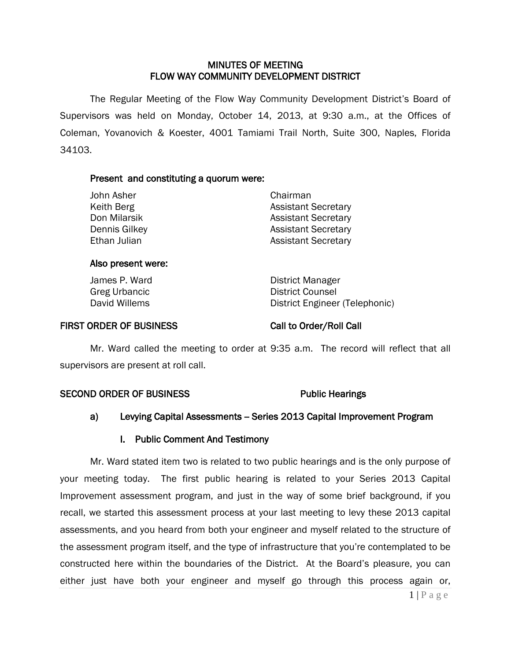### MINUTES OF MEETING FLOW WAY COMMUNITY DEVELOPMENT DISTRICT

 The Regular Meeting of the Flow Way Community Development District's Board of Supervisors was held on Monday, October 14, 2013, at 9:30 a.m., at the Offices of Coleman, Yovanovich & Koester, 4001 Tamiami Trail North, Suite 300, Naples, Florida 34103.

### Present and constituting a quorum were:

| Chairman                   |
|----------------------------|
| <b>Assistant Secretary</b> |
| <b>Assistant Secretary</b> |
| <b>Assistant Secretary</b> |
| <b>Assistant Secretary</b> |
|                            |

### Also present were:

James P. Ward **District Manager** Greg Urbancic and Counsel District Counsel<br>
District Engineer<br>
District Engineer District Engineer (Telephonic)

### FIRST ORDER OF BUSINESS Call to Order/Roll Call

Mr. Ward called the meeting to order at 9:35 a.m. The record will reflect that all supervisors are present at roll call.

### SECOND ORDER OF BUSINESS Public Hearings

## a) Levying Capital Assessments - Series 2013 Capital Improvement Program

### I. Public Comment And Testimony

Mr. Ward stated item two is related to two public hearings and is the only purpose of your meeting today. The first public hearing is related to your Series 2013 Capital Improvement assessment program, and just in the way of some brief background, if you recall, we started this assessment process at your last meeting to levy these 2013 capital assessments, and you heard from both your engineer and myself related to the structure of the assessment program itself, and the type of infrastructure that you're contemplated to be constructed here within the boundaries of the District. At the Board's pleasure, you can either just have both your engineer and myself go through this process again or,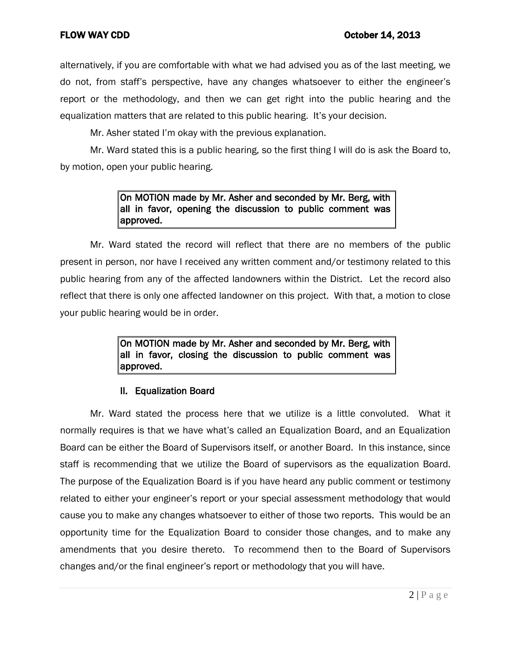alternatively, if you are comfortable with what we had advised you as of the last meeting, we do not, from staff's perspective, have any changes whatsoever to either the engineer's report or the methodology, and then we can get right into the public hearing and the equalization matters that are related to this public hearing. It's your decision.

Mr. Asher stated I'm okay with the previous explanation.

Mr. Ward stated this is a public hearing, so the first thing I will do is ask the Board to, by motion, open your public hearing.

## On MOTION made by Mr. Asher and seconded by Mr. Berg, with all in favor, opening the discussion to public comment was approved.

Mr. Ward stated the record will reflect that there are no members of the public present in person, nor have I received any written comment and/or testimony related to this public hearing from any of the affected landowners within the District. Let the record also reflect that there is only one affected landowner on this project. With that, a motion to close your public hearing would be in order.

> On MOTION made by Mr. Asher and seconded by Mr. Berg, with all in favor, closing the discussion to public comment was approved.

# II. Equalization Board

Mr. Ward stated the process here that we utilize is a little convoluted. What it normally requires is that we have what's called an Equalization Board, and an Equalization Board can be either the Board of Supervisors itself, or another Board. In this instance, since staff is recommending that we utilize the Board of supervisors as the equalization Board. The purpose of the Equalization Board is if you have heard any public comment or testimony related to either your engineer's report or your special assessment methodology that would cause you to make any changes whatsoever to either of those two reports. This would be an opportunity time for the Equalization Board to consider those changes, and to make any amendments that you desire thereto. To recommend then to the Board of Supervisors changes and/or the final engineer's report or methodology that you will have.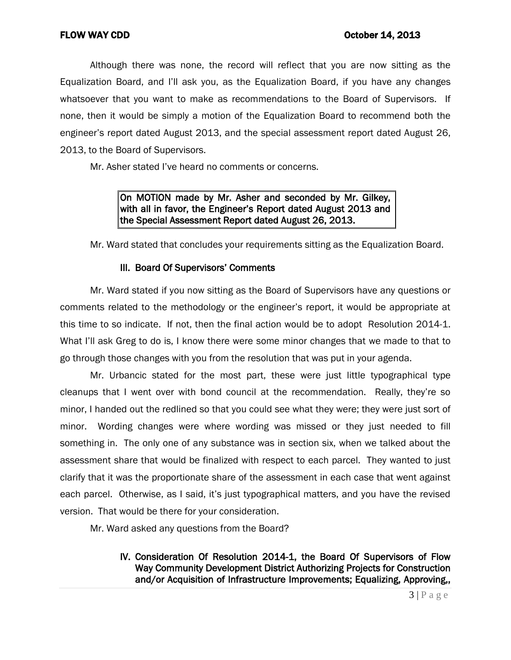Although there was none, the record will reflect that you are now sitting as the Equalization Board, and I'll ask you, as the Equalization Board, if you have any changes whatsoever that you want to make as recommendations to the Board of Supervisors. If none, then it would be simply a motion of the Equalization Board to recommend both the engineer's report dated August 2013, and the special assessment report dated August 26, 2013, to the Board of Supervisors.

Mr. Asher stated I've heard no comments or concerns.

On MOTION made by Mr. Asher and seconded by Mr. Gilkey, with all in favor, the Engineer's Report dated August 2013 and the Special Assessment Report dated August 26, 2013.

Mr. Ward stated that concludes your requirements sitting as the Equalization Board.

## III. Board Of Supervisors' Comments

Mr. Ward stated if you now sitting as the Board of Supervisors have any questions or comments related to the methodology or the engineer's report, it would be appropriate at this time to so indicate. If not, then the final action would be to adopt Resolution 2014-1. What I'll ask Greg to do is, I know there were some minor changes that we made to that to go through those changes with you from the resolution that was put in your agenda.

Mr. Urbancic stated for the most part, these were just little typographical type cleanups that I went over with bond council at the recommendation. Really, they're so minor, I handed out the redlined so that you could see what they were; they were just sort of minor. Wording changes were where wording was missed or they just needed to fill something in. The only one of any substance was in section six, when we talked about the assessment share that would be finalized with respect to each parcel. They wanted to just clarify that it was the proportionate share of the assessment in each case that went against each parcel. Otherwise, as I said, it's just typographical matters, and you have the revised version. That would be there for your consideration.

Mr. Ward asked any questions from the Board?

 IV. Consideration Of Resolution 2014-1, the Board Of Supervisors of Flow Way Community Development District Authorizing Projects for Construction and/or Acquisition of Infrastructure Improvements; Equalizing, Approving,,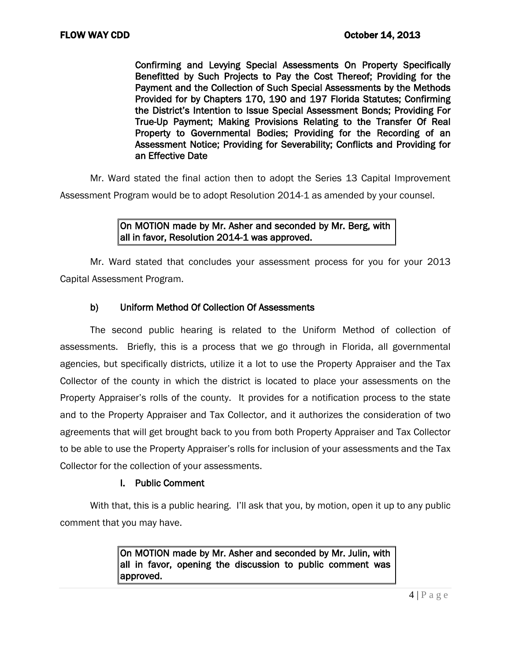Confirming and Levying Special Assessments On Property Specifically Benefitted by Such Projects to Pay the Cost Thereof; Providing for the Payment and the Collection of Such Special Assessments by the Methods Provided for by Chapters 170, 190 and 197 Florida Statutes; Confirming the District's Intention to Issue Special Assessment Bonds; Providing For True-Up Payment; Making Provisions Relating to the Transfer Of Real Property to Governmental Bodies; Providing for the Recording of an Assessment Notice; Providing for Severability; Conflicts and Providing for an Effective Date

Mr. Ward stated the final action then to adopt the Series 13 Capital Improvement Assessment Program would be to adopt Resolution 2014-1 as amended by your counsel.

## On MOTION made by Mr. Asher and seconded by Mr. Berg, with all in favor, Resolution 2014-1 was approved.

Mr. Ward stated that concludes your assessment process for you for your 2013 Capital Assessment Program.

## b) Uniform Method Of Collection Of Assessments

The second public hearing is related to the Uniform Method of collection of assessments. Briefly, this is a process that we go through in Florida, all governmental agencies, but specifically districts, utilize it a lot to use the Property Appraiser and the Tax Collector of the county in which the district is located to place your assessments on the Property Appraiser's rolls of the county. It provides for a notification process to the state and to the Property Appraiser and Tax Collector, and it authorizes the consideration of two agreements that will get brought back to you from both Property Appraiser and Tax Collector to be able to use the Property Appraiser's rolls for inclusion of your assessments and the Tax Collector for the collection of your assessments.

## I. Public Comment

With that, this is a public hearing. I'll ask that you, by motion, open it up to any public comment that you may have.

> On MOTION made by Mr. Asher and seconded by Mr. Julin, with all in favor, opening the discussion to public comment was approved.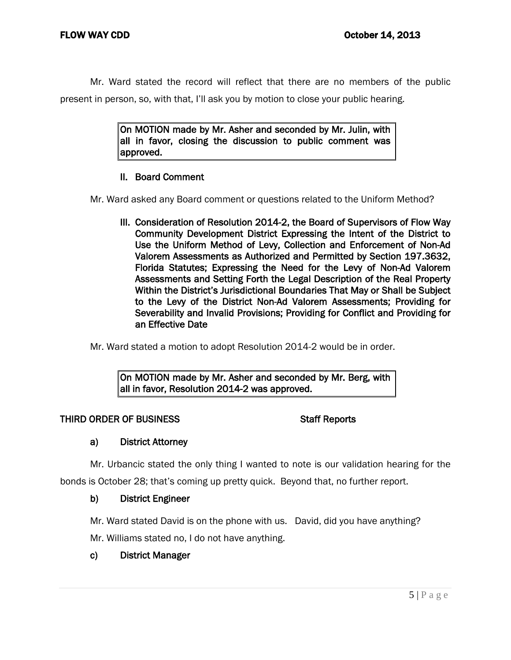Mr. Ward stated the record will reflect that there are no members of the public present in person, so, with that, I'll ask you by motion to close your public hearing.

> On MOTION made by Mr. Asher and seconded by Mr. Julin, with all in favor, closing the discussion to public comment was approved.

## II. Board Comment

Mr. Ward asked any Board comment or questions related to the Uniform Method?

 III. Consideration of Resolution 2014-2, the Board of Supervisors of Flow Way Community Development District Expressing the Intent of the District to Use the Uniform Method of Levy, Collection and Enforcement of Non-Ad Valorem Assessments as Authorized and Permitted by Section 197.3632, Florida Statutes; Expressing the Need for the Levy of Non-Ad Valorem Assessments and Setting Forth the Legal Description of the Real Property Within the District's Jurisdictional Boundaries That May or Shall be Subject to the Levy of the District Non-Ad Valorem Assessments; Providing for Severability and Invalid Provisions; Providing for Conflict and Providing for an Effective Date

Mr. Ward stated a motion to adopt Resolution 2014-2 would be in order.

On MOTION made by Mr. Asher and seconded by Mr. Berg, with all in favor, Resolution 2014-2 was approved.

## THIRD ORDER OF BUSINESS STATES STAFF Reports

## a) District Attorney

Mr. Urbancic stated the only thing I wanted to note is our validation hearing for the

bonds is October 28; that's coming up pretty quick. Beyond that, no further report.

## b) District Engineer

Mr. Ward stated David is on the phone with us. David, did you have anything?

Mr. Williams stated no, I do not have anything.

# c) District Manager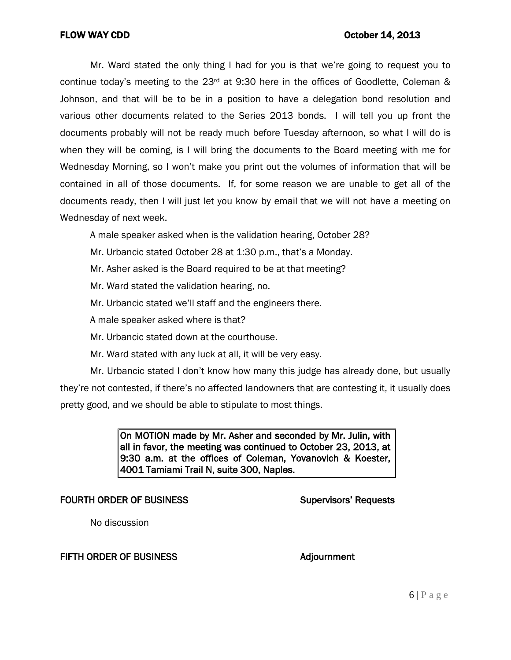Mr. Ward stated the only thing I had for you is that we're going to request you to continue today's meeting to the 23<sup>rd</sup> at 9:30 here in the offices of Goodlette, Coleman & Johnson, and that will be to be in a position to have a delegation bond resolution and various other documents related to the Series 2013 bonds. I will tell you up front the documents probably will not be ready much before Tuesday afternoon, so what I will do is when they will be coming, is I will bring the documents to the Board meeting with me for Wednesday Morning, so I won't make you print out the volumes of information that will be contained in all of those documents. If, for some reason we are unable to get all of the documents ready, then I will just let you know by email that we will not have a meeting on Wednesday of next week.

A male speaker asked when is the validation hearing, October 28?

- Mr. Urbancic stated October 28 at 1:30 p.m., that's a Monday.
- Mr. Asher asked is the Board required to be at that meeting?
- Mr. Ward stated the validation hearing, no.
- Mr. Urbancic stated we'll staff and the engineers there.
- A male speaker asked where is that?
- Mr. Urbancic stated down at the courthouse.
- Mr. Ward stated with any luck at all, it will be very easy.

Mr. Urbancic stated I don't know how many this judge has already done, but usually they're not contested, if there's no affected landowners that are contesting it, it usually does pretty good, and we should be able to stipulate to most things.

> On MOTION made by Mr. Asher and seconded by Mr. Julin, with all in favor, the meeting was continued to October 23, 2013, at 9:30 a.m. at the offices of Coleman, Yovanovich & Koester, 4001 Tamiami Trail N, suite 300, Naples.

### FOURTH ORDER OF BUSINESS Supervisors' Requests

No discussion

### FIFTH ORDER OF BUSINESS Adjournment